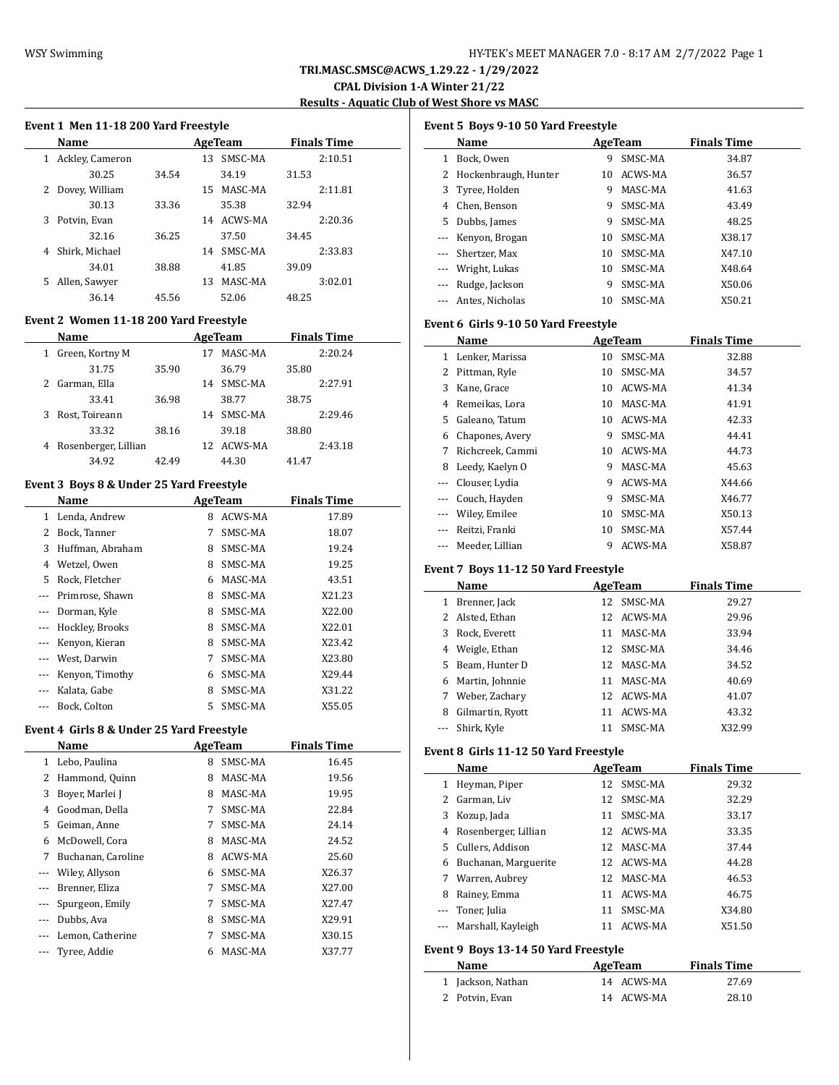**CPAL Division 1-A Winter 21/22 Results - Aquatic Club of West Shore vs MASC**

#### **Event 1 Men 11-18 200 Yard Freestyle**

|   | <b>Name</b>     | AgeTeam |    |         |       | <b>Finals Time</b> |
|---|-----------------|---------|----|---------|-------|--------------------|
| 1 | Ackley, Cameron |         | 13 | SMSC-MA |       | 2:10.51            |
|   | 30.25           | 34.54   |    | 34.19   | 31.53 |                    |
| 2 | Dovey, William  |         | 15 | MASC-MA |       | 2:11.81            |
|   | 30.13           | 33.36   |    | 35.38   | 32.94 |                    |
| 3 | Potvin, Evan    |         | 14 | ACWS-MA |       | 2:20.36            |
|   | 32.16           | 36.25   |    | 37.50   | 34.45 |                    |
| 4 | Shirk, Michael  |         | 14 | SMSC-MA |       | 2:33.83            |
|   | 34.01           | 38.88   |    | 41.85   | 39.09 |                    |
| 5 | Allen, Sawyer   |         | 13 | MASC-MA |       | 3:02.01            |
|   | 36.14           | 45.56   |    | 52.06   | 48.25 |                    |
|   |                 |         |    |         |       |                    |

## **Event 2 Women 11-18 200 Yard Freestyle**

|    | Name                 | AgeTeam |     |         |       | <b>Finals Time</b> |
|----|----------------------|---------|-----|---------|-------|--------------------|
| 1  | Green, Kortny M      |         | 17  | MASC-MA |       | 2:20.24            |
|    | 31.75                | 35.90   |     | 36.79   | 35.80 |                    |
|    | Garman, Ella         |         | 14  | SMSC-MA |       | 2:27.91            |
|    | 33.41                | 36.98   |     | 38.77   | 38.75 |                    |
| 3. | Rost, Toireann       |         | 14  | SMSC-MA |       | 2:29.46            |
|    | 33.32                | 38.16   |     | 39.18   | 38.80 |                    |
| 4  | Rosenberger, Lillian |         | 12. | ACWS-MA |       | 2:43.18            |
|    | 34.92                | 42.49   |     | 44.30   | 41.47 |                    |

## **Event 3 Boys 8 & Under 25 Yard Freestyle**

|    | Name             | AgeTeam |         | <b>Finals Time</b> |
|----|------------------|---------|---------|--------------------|
| 1  | Lenda, Andrew    | 8       | ACWS-MA | 17.89              |
| 2  | Bock, Tanner     | 7       | SMSC-MA | 18.07              |
| 3  | Huffman, Abraham | 8       | SMSC-MA | 19.24              |
| 4  | Wetzel, Owen     | 8       | SMSC-MA | 19.25              |
| 5. | Rock, Fletcher   | 6       | MASC-MA | 43.51              |
|    | Primrose, Shawn  | 8       | SMSC-MA | X21.23             |
|    | Dorman, Kyle     | 8       | SMSC-MA | X22.00             |
|    | Hockley, Brooks  | 8       | SMSC-MA | X22.01             |
|    | Kenyon, Kieran   | 8       | SMSC-MA | X23.42             |
|    | West, Darwin     | 7       | SMSC-MA | X23.80             |
|    | Kenyon, Timothy  | 6       | SMSC-MA | X29.44             |
|    | Kalata, Gabe     | 8       | SMSC-MA | X31.22             |
|    | Bock, Colton     | 5.      | SMSC-MA | X55.05             |

## **Event 4 Girls 8 & Under 25 Yard Freestyle**

|                          | Name               | AgeTeam |         | <b>Finals Time</b> |  |
|--------------------------|--------------------|---------|---------|--------------------|--|
| 1                        | Lebo, Paulina      | 8       | SMSC-MA | 16.45              |  |
| 2                        | Hammond, Quinn     | 8       | MASC-MA | 19.56              |  |
| 3                        | Bover, Marlei J    | 8       | MASC-MA | 19.95              |  |
| 4                        | Goodman, Della     | 7       | SMSC-MA | 22.84              |  |
| 5                        | Geiman, Anne       | 7       | SMSC-MA | 24.14              |  |
| 6                        | McDowell, Cora     | 8       | MASC-MA | 24.52              |  |
| 7                        | Buchanan, Caroline | 8       | ACWS-MA | 25.60              |  |
|                          | Wiley, Allyson     | 6       | SMSC-MA | X26.37             |  |
|                          | Brenner, Eliza     | 7       | SMSC-MA | X27.00             |  |
| $\overline{\phantom{a}}$ | Spurgeon, Emily    | 7       | SMSC-MA | X27.47             |  |
|                          | Dubbs, Ava         | 8       | SMSC-MA | X29.91             |  |
|                          | Lemon, Catherine   | 7       | SMSC-MA | X30.15             |  |
|                          | Tyree, Addie       | 6       | MASC-MA | X37.77             |  |
|                          |                    |         |         |                    |  |

#### **Event 5 Boys 9-10 50 Yard Freestyle**

|                     | Name                   | AgeTeam |         | <b>Finals Time</b> |
|---------------------|------------------------|---------|---------|--------------------|
| 1                   | Bock, Owen             | 9       | SMSC-MA | 34.87              |
|                     | 2 Hockenbraugh, Hunter | 10      | ACWS-MA | 36.57              |
| 3                   | Tyree, Holden          | 9       | MASC-MA | 41.63              |
| 4                   | Chen, Benson           | 9       | SMSC-MA | 43.49              |
| 5.                  | Dubbs, James           | 9       | SMSC-MA | 48.25              |
| $\qquad \qquad - -$ | Kenyon, Brogan         | 10      | SMSC-MA | X38.17             |
|                     | Shertzer, Max          | 10      | SMSC-MA | X47.10             |
|                     | --- Wright, Lukas      | 10      | SMSC-MA | X48.64             |
|                     | Rudge, Jackson         | 9       | SMSC-MA | X50.06             |
|                     | Antes, Nicholas        | 10      | SMSC-MA | X50.21             |

#### **Event 6 Girls 9-10 50 Yard Freestyle**

|       | Name             |    | AgeTeam | <b>Finals Time</b> |
|-------|------------------|----|---------|--------------------|
| 1     | Lenker, Marissa  | 10 | SMSC-MA | 32.88              |
| 2     | Pittman, Ryle    | 10 | SMSC-MA | 34.57              |
| 3     | Kane, Grace      | 10 | ACWS-MA | 41.34              |
| 4     | Remeikas, Lora   | 10 | MASC-MA | 41.91              |
| 5     | Galeano, Tatum   | 10 | ACWS-MA | 42.33              |
| 6     | Chapones, Avery  | 9  | SMSC-MA | 44.41              |
| 7     | Richcreek, Cammi | 10 | ACWS-MA | 44.73              |
| 8     | Leedy, Kaelyn O  | 9  | MASC-MA | 45.63              |
|       | Clouser, Lydia   | 9  | ACWS-MA | X44.66             |
|       | Couch, Hayden    | 9  | SMSC-MA | X46.77             |
| $---$ | Wiley, Emilee    | 10 | SMSC-MA | X50.13             |
|       | Reitzi, Franki   | 10 | SMSC-MA | X57.44             |
|       | Meeder, Lillian  | 9  | ACWS-MA | X58.87             |

## **Event 7 Boys 11-12 50 Yard Freestyle**

|   | <b>Name</b>      |    | AgeTeam    | <b>Finals Time</b> |
|---|------------------|----|------------|--------------------|
| 1 | Brenner, Jack    | 12 | SMSC-MA    | 29.27              |
|   | 2 Alsted, Ethan  |    | 12 ACWS-MA | 29.96              |
| 3 | Rock, Everett    | 11 | MASC-MA    | 33.94              |
| 4 | Weigle, Ethan    |    | 12 SMSC-MA | 34.46              |
|   | 5 Beam, Hunter D |    | 12 MASC-MA | 34.52              |
| 6 | Martin, Johnnie  | 11 | MASC-MA    | 40.69              |
| 7 | Weber, Zachary   |    | 12 ACWS-MA | 41.07              |
| 8 | Gilmartin, Ryott | 11 | ACWS-MA    | 43.32              |
|   | Shirk, Kyle      | 11 | SMSC-MA    | X32.99             |

#### **Event 8 Girls 11-12 50 Yard Freestyle**

|        | Name                   |    | AgeTeam    | <b>Finals Time</b> |  |
|--------|------------------------|----|------------|--------------------|--|
| 1      | Heyman, Piper          |    | 12 SMSC-MA | 29.32              |  |
| $^{2}$ | Garman, Liv            | 12 | SMSC-MA    | 32.29              |  |
| 3      | Kozup, Jada            | 11 | SMSC-MA    | 33.17              |  |
|        | 4 Rosenberger, Lillian |    | 12 ACWS-MA | 33.35              |  |
|        | 5 Cullers, Addison     |    | 12 MASC-MA | 37.44              |  |
| 6      | Buchanan, Marguerite   |    | 12 ACWS-MA | 44.28              |  |
| 7      | Warren, Aubrey         |    | 12 MASC-MA | 46.53              |  |
| 8      | Rainey, Emma           | 11 | ACWS-MA    | 46.75              |  |
|        | Toner, Julia           | 11 | SMSC-MA    | X34.80             |  |
|        | --- Marshall, Kayleigh | 11 | ACWS-MA    | X51.50             |  |
|        | .                      |    |            |                    |  |

# **Event 9 Boys 13-14 50 Yard Freestyle**

| Name              | AgeTeam    | <b>Finals Time</b> |
|-------------------|------------|--------------------|
| 1 Jackson, Nathan | 14 ACWS-MA | 27.69              |
| 2 Potvin, Evan    | 14 ACWS-MA | 28.10              |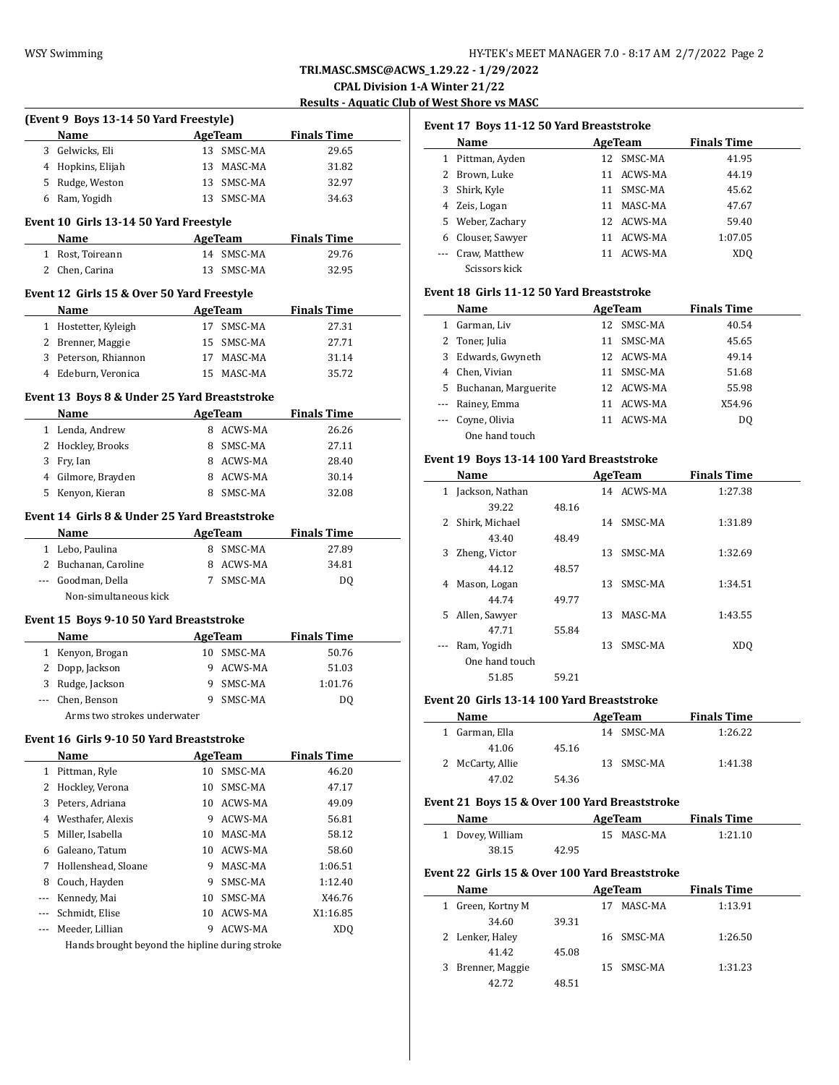**CPAL Division 1-A Winter 21/22**

**Results - Aquatic Club of West Shore vs MASC**

|   | (Event 9 Boys 13-14 50 Yard Freestyle)                                                                                                   |         |                    |                                      |
|---|------------------------------------------------------------------------------------------------------------------------------------------|---------|--------------------|--------------------------------------|
|   | Name                                                                                                                                     |         |                    | <b>Example 2 AgeTeam</b> Finals Time |
|   | 3 Gelwicks, Eli                                                                                                                          |         | 13 SMSC-MA         | 29.65                                |
|   | 4 Hopkins, Elijah                                                                                                                        |         | 13 MASC-MA         | 31.82                                |
|   | 5 Rudge, Weston                                                                                                                          |         | 13 SMSC-MA         | 32.97                                |
|   | 6 Ram, Yogidh                                                                                                                            |         | 13 SMSC-MA         | 34.63                                |
|   | Event 10 Girls 13-14 50 Yard Freestyle                                                                                                   |         |                    |                                      |
|   | Name<br>$\mathcal{L}^{\mathcal{L}}$ and $\mathcal{L}^{\mathcal{L}}$ are the set of the set of the set of the $\mathcal{L}^{\mathcal{L}}$ |         |                    | AgeTeam Finals Time                  |
|   | 1 Rost, Toireann                                                                                                                         |         | 14 SMSC-MA         | 29.76                                |
|   | 2 Chen, Carina                                                                                                                           |         | 13 SMSC-MA         | 32.95                                |
|   | Event 12 Girls 15 & Over 50 Yard Freestyle                                                                                               |         |                    |                                      |
|   | Name                                                                                                                                     |         |                    | <b>Example 2 AgeTeam</b> Finals Time |
|   | 1 Hostetter, Kyleigh                                                                                                                     |         | 17 SMSC-MA         | 27.31                                |
|   | 2 Brenner, Maggie                                                                                                                        |         | 15 SMSC-MA         | 27.71                                |
|   | 3 Peterson, Rhiannon                                                                                                                     |         | 17 MASC-MA         | 31.14                                |
|   | 4 Edeburn, Veronica                                                                                                                      |         | 15 MASC-MA         | 35.72                                |
|   | Event 13 Boys 8 & Under 25 Yard Breaststroke                                                                                             |         |                    |                                      |
|   | Name                                                                                                                                     |         |                    | AgeTeam Finals Time                  |
|   | 1 Lenda, Andrew                                                                                                                          |         | 8 ACWS-MA          | 26.26                                |
|   | 2 Hockley, Brooks                                                                                                                        |         | 8 SMSC-MA          | 27.11                                |
|   | 3 Fry, Ian                                                                                                                               |         | 8 ACWS-MA          | 28.40                                |
|   | 4 Gilmore, Brayden                                                                                                                       |         | 8 ACWS-MA          | 30.14                                |
|   | 5 Kenyon, Kieran                                                                                                                         |         | 8 SMSC-MA          | 32.08                                |
|   | Event 14 Girls 8 & Under 25 Yard Breaststroke                                                                                            |         |                    |                                      |
|   | Name                                                                                                                                     |         |                    | <b>Example 2 AgeTeam</b> Finals Time |
|   | 1 Lebo, Paulina                                                                                                                          |         | 8 SMSC-MA          | 27.89                                |
|   | 2 Buchanan, Caroline                                                                                                                     |         | 8 ACWS-MA          | 34.81                                |
|   | --- Goodman, Della                                                                                                                       |         | 7 SMSC-MA          | DQ                                   |
|   |                                                                                                                                          |         |                    |                                      |
|   | Non-simultaneous kick                                                                                                                    |         |                    |                                      |
|   | Event 15 Boys 9-10 50 Yard Breaststroke                                                                                                  |         |                    |                                      |
|   | <b>AgeTeam</b><br>Name                                                                                                                   |         |                    | <b>Finals Time</b>                   |
|   | 1 Kenyon, Brogan                                                                                                                         |         | 10 SMSC-MA         | 50.76                                |
|   | 2 Dopp, Jackson                                                                                                                          |         | 9 ACWS-MA          | 51.03                                |
|   | 3 Rudge, Jackson                                                                                                                         |         | 9 SMSC-MA          | 1:01.76                              |
|   | --- Chen, Benson                                                                                                                         | 9       | SMSC-MA            | DQ                                   |
|   | Arms two strokes underwater                                                                                                              |         |                    |                                      |
|   | Event 16 Girls 9-10 50 Yard Breaststroke                                                                                                 |         |                    |                                      |
|   | Name                                                                                                                                     |         | AgeTeam            | <b>Finals Time</b>                   |
|   | 1 Pittman, Ryle                                                                                                                          |         | 10 SMSC-MA         | 46.20                                |
|   | 2 Hockley, Verona                                                                                                                        | 10      | SMSC-MA            | 47.17                                |
|   | 3 Peters, Adriana                                                                                                                        | 10      | ACWS-MA            | 49.09                                |
|   | 4 Westhafer, Alexis                                                                                                                      | 9       | ACWS-MA            | 56.81                                |
| 5 | Miller, Isabella                                                                                                                         | 10      | MASC-MA            | 58.12                                |
| 6 | Galeano, Tatum                                                                                                                           | 10      | ACWS-MA            | 58.60                                |
|   | 7 Hollenshead, Sloane                                                                                                                    | 9       | MASC-MA            | 1:06.51                              |
| 8 | Couch, Hayden                                                                                                                            | 9       | SMSC-MA            | 1:12.40                              |
|   | --- Kennedy, Mai                                                                                                                         | 10      | SMSC-MA            | X46.76                               |
|   | --- Schmidt, Elise<br>--- Meeder, Lillian                                                                                                | 10<br>9 | ACWS-MA<br>ACWS-MA | X1:16.85<br><b>XDQ</b>               |

#### **Event 17 Boys 11-12 50 Yard Breaststroke**

|   | Name             |    | AgeTeam    | <b>Finals Time</b> |
|---|------------------|----|------------|--------------------|
| 1 | Pittman, Ayden   |    | 12 SMSC-MA | 41.95              |
|   | 2 Brown, Luke    | 11 | ACWS-MA    | 44.19              |
| 3 | Shirk, Kyle      | 11 | SMSC-MA    | 45.62              |
|   | 4 Zeis, Logan    | 11 | MASC-MA    | 47.67              |
|   | 5 Weber, Zachary |    | 12 ACWS-MA | 59.40              |
| 6 | Clouser, Sawyer  | 11 | ACWS-MA    | 1:07.05            |
|   | Craw, Matthew    |    | 11 ACWS-MA | XD <sub>0</sub>    |
|   | Scissors kick    |    |            |                    |

## **Event 18 Girls 11-12 50 Yard Breaststroke**

|   | <b>Name</b>            | AgeTeam       | <b>Finals Time</b> |  |
|---|------------------------|---------------|--------------------|--|
| 1 | Garman, Liv            | 12 SMSC-MA    | 40.54              |  |
|   | 2 Toner, Julia         | SMSC-MA<br>11 | 45.65              |  |
|   | 3 Edwards, Gwyneth     | 12 ACWS-MA    | 49.14              |  |
| 4 | Chen, Vivian           | SMSC-MA<br>11 | 51.68              |  |
|   | 5 Buchanan, Marguerite | 12 ACWS-MA    | 55.98              |  |
|   | --- Rainey, Emma       | ACWS-MA<br>11 | X54.96             |  |
|   | --- Coyne, Olivia      | ACWS-MA<br>11 | DO.                |  |
|   | One hand touch         |               |                    |  |

## **Event 19 Boys 13-14 100 Yard Breaststroke**

|              | Name            |       |    | AgeTeam    | <b>Finals Time</b> |  |  |
|--------------|-----------------|-------|----|------------|--------------------|--|--|
| $\mathbf{1}$ | Jackson, Nathan |       |    | 14 ACWS-MA | 1:27.38            |  |  |
|              | 39.22           | 48.16 |    |            |                    |  |  |
| 2            | Shirk, Michael  |       | 14 | SMSC-MA    | 1:31.89            |  |  |
|              | 43.40           | 48.49 |    |            |                    |  |  |
| 3            | Zheng, Victor   |       | 13 | SMSC-MA    | 1:32.69            |  |  |
|              | 44.12           | 48.57 |    |            |                    |  |  |
| 4            | Mason, Logan    |       | 13 | SMSC-MA    | 1:34.51            |  |  |
|              | 44.74           | 49.77 |    |            |                    |  |  |
| 5.           | Allen, Sawyer   |       | 13 | MASC-MA    | 1:43.55            |  |  |
|              | 47.71           | 55.84 |    |            |                    |  |  |
|              | Ram, Yogidh     |       | 13 | SMSC-MA    | XD <sub>0</sub>    |  |  |
|              | One hand touch  |       |    |            |                    |  |  |
|              | 51.85           | 59.21 |    |            |                    |  |  |

## **Event 20 Girls 13-14 100 Yard Breaststroke**

| Name             |       | AgeTeam    | <b>Finals Time</b> |
|------------------|-------|------------|--------------------|
| 1 Garman, Ella   |       | 14 SMSC-MA | 1:26.22            |
| 41.06            | 45.16 |            |                    |
| 2 McCarty, Allie |       | 13 SMSC-MA | 1:41.38            |
| 47.02            | 54.36 |            |                    |

#### **Event 21 Boys 15 & Over 100 Yard Breaststroke**

| <b>Name</b>      | AgeTeam |  |            | <b>Finals Time</b> |  |
|------------------|---------|--|------------|--------------------|--|
| 1 Dovey, William |         |  | 15 MASC-MA | 1:21.10            |  |
| 38.15            | 42.95   |  |            |                    |  |

#### **Event 22 Girls 15 & Over 100 Yard Breaststroke**

| <b>Name</b>       |       |    | AgeTeam    | <b>Finals Time</b> |  |  |
|-------------------|-------|----|------------|--------------------|--|--|
| 1 Green, Kortny M |       | 17 | MASC-MA    | 1:13.91            |  |  |
| 34.60             | 39.31 |    |            |                    |  |  |
| 2 Lenker, Haley   |       |    | 16 SMSC-MA | 1:26.50            |  |  |
| 41.42             | 45.08 |    |            |                    |  |  |
| 3 Brenner, Maggie |       |    | 15 SMSC-MA | 1:31.23            |  |  |
| 42.72             | 48.51 |    |            |                    |  |  |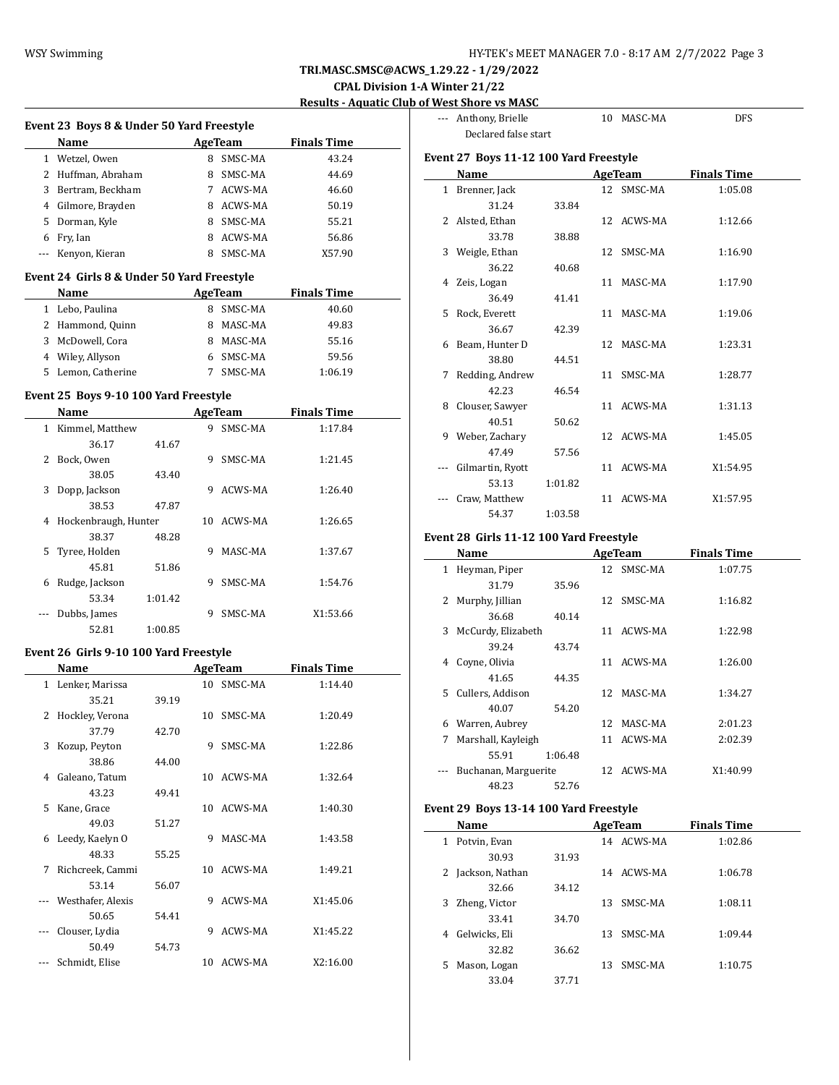# **CPAL Division 1-A Winter 21/22**

**Results - Aquatic Club of West Shore vs MASC**

| Event 23 Boys 8 & Under 50 Yard Freestyle  |         |                |                    | --- Anthony, Brielle                    |         | 10 MASC-MA     | <b>DFS</b>         |
|--------------------------------------------|---------|----------------|--------------------|-----------------------------------------|---------|----------------|--------------------|
| Name                                       |         | AgeTeam        | <b>Finals Time</b> | Declared false start                    |         |                |                    |
| 1 Wetzel, Owen                             |         | 8 SMSC-MA      | 43.24              | Event 27 Boys 11-12 100 Yard Freestyle  |         |                |                    |
| 2 Huffman, Abraham                         |         | 8 SMSC-MA      | 44.69              | Name                                    |         | <b>AgeTeam</b> | <b>Finals Time</b> |
| 3 Bertram, Beckham                         |         | 7 ACWS-MA      | 46.60              | 1 Brenner, Jack                         |         | 12 SMSC-MA     | 1:05.08            |
|                                            |         |                |                    |                                         |         |                |                    |
| 4 Gilmore, Brayden                         |         | 8 ACWS-MA      | 50.19              | 31.24                                   | 33.84   |                |                    |
| 5 Dorman, Kyle                             |         | 8 SMSC-MA      | 55.21              | 2 Alsted, Ethan                         |         | 12 ACWS-MA     | 1:12.66            |
| 6 Fry, Ian                                 |         | 8 ACWS-MA      | 56.86              | 33.78                                   | 38.88   |                |                    |
| --- Kenyon, Kieran                         |         | 8 SMSC-MA      | X57.90             | 3 Weigle, Ethan                         |         | 12 SMSC-MA     | 1:16.90            |
| Event 24 Girls 8 & Under 50 Yard Freestyle |         |                |                    | 36.22                                   | 40.68   |                |                    |
| Name                                       |         | <b>AgeTeam</b> | <b>Finals Time</b> | 4 Zeis, Logan                           |         | 11 MASC-MA     | 1:17.90            |
| 1 Lebo, Paulina                            |         | 8 SMSC-MA      | 40.60              | 36.49                                   | 41.41   |                |                    |
| 2 Hammond, Quinn                           |         | 8 MASC-MA      | 49.83              | 5 Rock, Everett                         |         | 11 MASC-MA     | 1:19.06            |
| 3 McDowell, Cora                           |         | 8 MASC-MA      | 55.16              | 36.67                                   | 42.39   |                |                    |
| 4 Wiley, Allyson                           |         | 6 SMSC-MA      | 59.56              | 6 Beam, Hunter D                        |         | 12 MASC-MA     | 1:23.31            |
| 5 Lemon, Catherine                         |         | 7 SMSC-MA      |                    | 38.80                                   | 44.51   |                |                    |
|                                            |         |                | 1:06.19            | 7 Redding, Andrew                       |         | 11 SMSC-MA     | 1:28.77            |
| Event 25 Boys 9-10 100 Yard Freestyle      |         |                |                    | 42.23                                   | 46.54   |                |                    |
| Name                                       |         | AgeTeam        | <b>Finals Time</b> | 8 Clouser, Sawyer                       |         | 11 ACWS-MA     | 1:31.13            |
| 1 Kimmel, Matthew                          |         | 9 SMSC-MA      | 1:17.84            | 40.51                                   | 50.62   |                |                    |
| 36.17                                      | 41.67   |                |                    | 9 Weber, Zachary                        |         | 12 ACWS-MA     | 1:45.05            |
| 2 Bock, Owen                               |         | 9 SMSC-MA      | 1:21.45            | 47.49                                   | 57.56   |                |                    |
| 38.05                                      | 43.40   |                |                    | --- Gilmartin, Ryott                    |         | 11 ACWS-MA     | X1:54.95           |
| 3 Dopp, Jackson                            |         | 9 ACWS-MA      | 1:26.40            | 53.13                                   | 1:01.82 |                |                    |
| 38.53                                      | 47.87   |                |                    | --- Craw, Matthew                       |         | 11 ACWS-MA     | X1:57.95           |
| 4 Hockenbraugh, Hunter                     |         | 10 ACWS-MA     | 1:26.65            | 54.37                                   | 1:03.58 |                |                    |
| 38.37                                      | 48.28   |                |                    | Event 28 Girls 11-12 100 Yard Freestyle |         |                |                    |
| 5 Tyree, Holden                            |         | 9 MASC-MA      | 1:37.67            |                                         |         |                |                    |
| 45.81                                      | 51.86   |                |                    | Name                                    |         | <b>AgeTeam</b> | <b>Finals Time</b> |
| 6 Rudge, Jackson                           |         | 9 SMSC-MA      | 1:54.76            | 1 Heyman, Piper                         |         | 12 SMSC-MA     | 1:07.75            |
|                                            |         |                |                    | 31.79                                   | 35.96   |                |                    |
| 53.34                                      | 1:01.42 |                | X1:53.66           | 2 Murphy, Jillian                       |         | 12 SMSC-MA     | 1:16.82            |
| --- Dubbs, James                           |         | 9 SMSC-MA      |                    | 36.68                                   | 40.14   |                |                    |
| 52.81                                      | 1:00.85 |                |                    | 3 McCurdy, Elizabeth                    |         | 11 ACWS-MA     | 1:22.98            |
| Event 26 Girls 9-10 100 Yard Freestyle     |         |                |                    | 39.24                                   | 43.74   |                |                    |
| Name                                       |         | <b>AgeTeam</b> | <b>Finals Time</b> | 4 Coyne, Olivia                         |         | 11 ACWS-MA     | 1:26.00            |
| 1 Lenker, Marissa                          |         | 10 SMSC-MA     | 1:14.40            | 41.65                                   | 44.35   |                |                    |
| 35.21                                      | 39.19   |                |                    | 5 Cullers, Addison                      |         | 12 MASC-MA     | 1:34.27            |
| 2 Hockley, Verona                          |         | 10 SMSC-MA     | 1:20.49            | 40.07                                   | 54.20   |                |                    |
| 37.79                                      | 42.70   |                |                    | 6 Warren, Aubrey                        |         | 12 MASC-MA     | 2:01.23            |
| 3 Kozup, Peyton                            |         | 9 SMSC-MA      | 1:22.86            | 7 Marshall, Kayleigh                    |         | 11 ACWS-MA     | 2:02.39            |
| 38.86                                      | 44.00   |                |                    | 55.91                                   | 1:06.48 |                |                    |
| 4 Galeano, Tatum                           |         | 10 ACWS-MA     | 1:32.64            | --- Buchanan, Marguerite                |         | 12 ACWS-MA     | X1:40.99           |
| 43.23                                      | 49.41   |                |                    | 48.23                                   | 52.76   |                |                    |
| 5 Kane, Grace                              |         | 10 ACWS-MA     | 1:40.30            | Event 29 Boys 13-14 100 Yard Freestyle  |         |                |                    |
| 49.03                                      |         |                |                    |                                         |         |                |                    |
| 6 Leedy, Kaelyn O                          | 51.27   | 9 MASC-MA      | 1:43.58            | Name                                    |         | AgeTeam        | <b>Finals Time</b> |
|                                            |         |                |                    | 1 Potvin, Evan                          |         | 14 ACWS-MA     | 1:02.86            |
| 48.33                                      | 55.25   |                |                    | 30.93                                   | 31.93   |                |                    |
| 7 Richcreek, Cammi                         |         | 10 ACWS-MA     | 1:49.21            | 2 Jackson, Nathan                       |         | 14 ACWS-MA     | 1:06.78            |
| 53.14                                      | 56.07   |                |                    | 32.66                                   | 34.12   |                |                    |
| --- Westhafer, Alexis                      |         | 9 ACWS-MA      | X1:45.06           | 3 Zheng, Victor                         |         | 13 SMSC-MA     | 1:08.11            |
| 50.65                                      | 54.41   |                |                    | 33.41                                   | 34.70   |                |                    |
| --- Clouser, Lydia                         |         | 9 ACWS-MA      | X1:45.22           | 4 Gelwicks, Eli                         |         | 13 SMSC-MA     | 1:09.44            |
| 50.49                                      | 54.73   |                |                    | 32.82                                   | 36.62   |                |                    |
| --- Schmidt, Elise                         |         | 10 ACWS-MA     | X2:16.00           | 5 Mason, Logan                          |         | 13 SMSC-MA     | 1:10.75            |
|                                            |         |                |                    | 2204                                    | 2771    |                |                    |

|   | Declared false start<br>Event 27 Boys 11-12 100 Yard Freestyle |         |            |                    |  |
|---|----------------------------------------------------------------|---------|------------|--------------------|--|
|   | <b>Name</b>                                                    |         | AgeTeam    | <b>Finals Time</b> |  |
|   | 1 Brenner, Jack                                                |         | 12 SMSC-MA | 1:05.08            |  |
|   | 31.24                                                          | 33.84   |            |                    |  |
|   | 2 Alsted, Ethan                                                |         | 12 ACWS-MA | 1:12.66            |  |
|   | 33.78                                                          | 38.88   |            |                    |  |
|   | 3 Weigle, Ethan                                                |         | 12 SMSC-MA | 1:16.90            |  |
|   | 36.22                                                          | 40.68   |            |                    |  |
|   | 4 Zeis, Logan                                                  |         | 11 MASC-MA | 1:17.90            |  |
|   | 36.49                                                          | 41.41   |            |                    |  |
|   | 5 Rock, Everett                                                |         | 11 MASC-MA | 1:19.06            |  |
|   | 36.67                                                          | 42.39   |            |                    |  |
|   | 6 Beam, Hunter D                                               |         | 12 MASC-MA | 1:23.31            |  |
|   | 38.80                                                          | 44.51   |            |                    |  |
| 7 | Redding, Andrew                                                |         | 11 SMSC-MA | 1:28.77            |  |
|   | 42.23                                                          | 46.54   |            |                    |  |
| 8 | Clouser, Sawyer                                                |         | 11 ACWS-MA | 1:31.13            |  |
|   | 40.51                                                          | 50.62   |            |                    |  |
| 9 | Weber, Zachary                                                 |         | 12 ACWS-MA | 1:45.05            |  |
|   | 47.49                                                          | 57.56   |            |                    |  |
|   | Gilmartin, Ryott                                               |         | 11 ACWS-MA | X1:54.95           |  |
|   | 53.13                                                          | 1:01.82 |            |                    |  |
|   | Craw, Matthew                                                  |         | 11 ACWS-MA | X1:57.95           |  |
|   | 54.37                                                          | 1:03.58 |            |                    |  |
|   |                                                                |         |            |                    |  |

# **Event 28 Girls 11-12 100 Yard Freestyle**

|    | Name                 |         |                 | AgeTeam    | <b>Finals Time</b> |
|----|----------------------|---------|-----------------|------------|--------------------|
| 1  | Heyman, Piper        |         |                 | 12 SMSC-MA | 1:07.75            |
|    | 31.79                | 35.96   |                 |            |                    |
| 2  | Murphy, Jillian      |         |                 | 12 SMSC-MA | 1:16.82            |
|    | 36.68                | 40.14   |                 |            |                    |
| 3  | McCurdy, Elizabeth   |         | 11              | ACWS-MA    | 1:22.98            |
|    | 39.24                | 43.74   |                 |            |                    |
| 4  | Coyne, Olivia        |         | 11              | ACWS-MA    | 1:26.00            |
|    | 41.65                | 44.35   |                 |            |                    |
| 5. | Cullers, Addison     |         | 12 <sup>1</sup> | MASC-MA    | 1:34.27            |
|    | 40.07                | 54.20   |                 |            |                    |
| 6  | Warren, Aubrey       |         | 12              | MASC-MA    | 2:01.23            |
| 7  | Marshall, Kayleigh   |         |                 | 11 ACWS-MA | 2:02.39            |
|    | 55.91                | 1:06.48 |                 |            |                    |
|    | Buchanan, Marguerite |         |                 | 12 ACWS-MA | X1:40.99           |
|    | 48.23                | 52.76   |                 |            |                    |
|    |                      |         |                 |            |                    |

# **Event 29 Boys 13-14 100 Yard Freestyle**

|    | Name            |       |    | AgeTeam    | <b>Finals Time</b> |
|----|-----------------|-------|----|------------|--------------------|
| 1  | Potvin, Evan    |       | 14 | ACWS-MA    | 1:02.86            |
|    | 30.93           | 31.93 |    |            |                    |
| 2  | Jackson, Nathan |       |    | 14 ACWS-MA | 1:06.78            |
|    | 32.66           | 34.12 |    |            |                    |
| 3  | Zheng, Victor   |       | 13 | SMSC-MA    | 1:08.11            |
|    | 33.41           | 34.70 |    |            |                    |
| 4  | Gelwicks, Eli   |       | 13 | SMSC-MA    | 1:09.44            |
|    | 32.82           | 36.62 |    |            |                    |
| 5. | Mason, Logan    |       | 13 | SMSC-MA    | 1:10.75            |
|    | 33.04           | 37.71 |    |            |                    |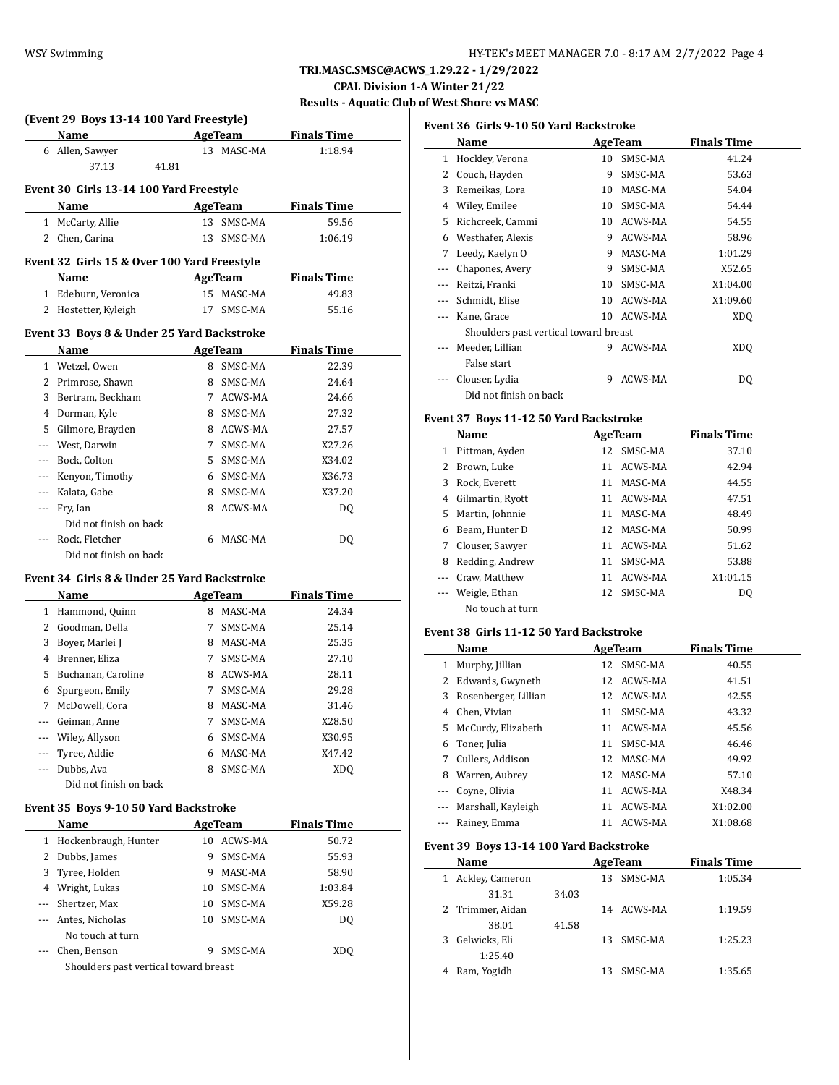**CPAL Division 1-A Winter 21/22**

**Results - Aquatic Club of West Shore vs MASC**

|              | (Event 29 Boys 13-14 100 Yard Freestyle)                                                                                                                                                                                      |    |                       |                    |  |
|--------------|-------------------------------------------------------------------------------------------------------------------------------------------------------------------------------------------------------------------------------|----|-----------------------|--------------------|--|
|              | Name AgeTeam                                                                                                                                                                                                                  |    |                       | <b>Finals Time</b> |  |
|              | 6 Allen, Sawyer                                                                                                                                                                                                               |    | 13 MASC-MA            | 1:18.94            |  |
|              | 37.13<br>41.81                                                                                                                                                                                                                |    |                       |                    |  |
|              | Event 30 Girls 13-14 100 Yard Freestyle                                                                                                                                                                                       |    |                       |                    |  |
|              | Name                                                                                                                                                                                                                          |    | <b>AgeTeam</b>        | <b>Finals Time</b> |  |
| $\mathbf{1}$ | McCarty, Allie                                                                                                                                                                                                                | 13 | SMSC-MA               | 59.56              |  |
|              | 2 Chen, Carina                                                                                                                                                                                                                | 13 | SMSC-MA               | 1:06.19            |  |
|              |                                                                                                                                                                                                                               |    |                       |                    |  |
|              | Event 32 Girls 15 & Over 100 Yard Freestyle                                                                                                                                                                                   |    |                       | <b>Finals Time</b> |  |
|              | Name                                                                                                                                                                                                                          |    | AgeTeam<br>15 MASC-MA |                    |  |
|              | 1 Edeburn, Veronica                                                                                                                                                                                                           | 17 | SMSC-MA               | 49.83<br>55.16     |  |
|              | 2 Hostetter, Kyleigh                                                                                                                                                                                                          |    |                       |                    |  |
|              | Event 33 Boys 8 & Under 25 Yard Backstroke                                                                                                                                                                                    |    |                       |                    |  |
|              | Name and the same of the same of the same of the same of the same of the same of the same of the same of the same of the same of the same of the same of the same of the same of the same of the same of the same of the same |    | <b>AgeTeam</b>        | <b>Finals Time</b> |  |
|              | 1 Wetzel, Owen                                                                                                                                                                                                                |    | 8 SMSC-MA             | 22.39              |  |
|              | 2 Primrose, Shawn                                                                                                                                                                                                             | 8. | SMSC-MA               | 24.64              |  |
|              | 3 Bertram, Beckham                                                                                                                                                                                                            |    | 7 ACWS-MA             | 24.66              |  |
|              | 4 Dorman, Kyle                                                                                                                                                                                                                | 8  | SMSC-MA               | 27.32              |  |
|              | 5 Gilmore, Brayden                                                                                                                                                                                                            |    | 8 ACWS-MA             | 27.57              |  |
|              | --- West, Darwin                                                                                                                                                                                                              | 7  | SMSC-MA               | X27.26             |  |
|              | --- Bock, Colton                                                                                                                                                                                                              | 5  | SMSC-MA               | X34.02             |  |
|              | --- Kenyon, Timothy                                                                                                                                                                                                           | 6  | SMSC-MA               | X36.73             |  |
|              | --- Kalata, Gabe                                                                                                                                                                                                              | 8. | SMSC-MA               | X37.20             |  |
| ---          | Fry, Ian                                                                                                                                                                                                                      | 8. | ACWS-MA               | DQ                 |  |
|              | Did not finish on back                                                                                                                                                                                                        |    |                       |                    |  |
|              | Rock, Fletcher                                                                                                                                                                                                                |    | 6 MASC-MA             | DQ                 |  |
|              | Did not finish on back                                                                                                                                                                                                        |    |                       |                    |  |
|              | Event 34 Girls 8 & Under 25 Yard Backstroke                                                                                                                                                                                   |    |                       |                    |  |
|              | Name                                                                                                                                                                                                                          |    | AgeTeam               | <b>Finals Time</b> |  |
|              | 1 Hammond, Quinn                                                                                                                                                                                                              |    | 8 MASC-MA             | 24.34              |  |
|              | 2 Goodman, Della                                                                                                                                                                                                              | 7  | SMSC-MA               | 25.14              |  |
|              | 3 Boyer, Marlei J                                                                                                                                                                                                             |    | 8 MASC-MA             | 25.35              |  |
|              | 4 Brenner, Eliza                                                                                                                                                                                                              | 7  | SMSC-MA               | 27.10              |  |
|              | 5 Buchanan, Caroline                                                                                                                                                                                                          |    | 8 ACWS-MA             | 28.11              |  |
|              | 6 Spurgeon, Emily                                                                                                                                                                                                             | 7  | SMSC-MA               | 29.28              |  |
|              | 7 McDowell, Cora                                                                                                                                                                                                              |    | 8 MASC-MA             | 31.46              |  |
| ---          | Geiman, Anne                                                                                                                                                                                                                  | 7  | SMSC-MA               | X28.50             |  |
| ---          | Wiley, Allyson                                                                                                                                                                                                                | 6  | SMSC-MA               | X30.95             |  |
|              | Tyree, Addie                                                                                                                                                                                                                  | 6  | MASC-MA               | X47.42             |  |
|              | Dubbs, Ava                                                                                                                                                                                                                    | 8  | SMSC-MA               | XDQ                |  |
|              | Did not finish on back                                                                                                                                                                                                        |    |                       |                    |  |
|              | Event 35 Boys 9-10 50 Yard Backstroke                                                                                                                                                                                         |    |                       |                    |  |
|              | Name                                                                                                                                                                                                                          |    | AgeTeam               | <b>Finals Time</b> |  |
| $\mathbf{1}$ | Hockenbraugh, Hunter                                                                                                                                                                                                          | 10 | ACWS-MA               | 50.72              |  |
| 2            | Dubbs, James                                                                                                                                                                                                                  | 9  | SMSC-MA               | 55.93              |  |
| 3            | Tyree, Holden                                                                                                                                                                                                                 | 9  | MASC-MA               | 58.90              |  |
|              | 4 Wright, Lukas                                                                                                                                                                                                               | 10 | SMSC-MA               | 1:03.84            |  |
| $---$        | Shertzer, Max                                                                                                                                                                                                                 | 10 | SMSC-MA               | X59.28             |  |
| ---          | Antes, Nicholas                                                                                                                                                                                                               | 10 | SMSC-MA               | DQ                 |  |
|              | No touch at turn                                                                                                                                                                                                              |    |                       |                    |  |

--- Chen, Benson 9 SMSC-MA XDQ

Shoulders past vertical toward breast

|          | Event 36 Girls 9-10 50 Yard Backstroke |    |         |                    |  |  |  |  |  |
|----------|----------------------------------------|----|---------|--------------------|--|--|--|--|--|
|          | Name                                   |    | AgeTeam | <b>Finals Time</b> |  |  |  |  |  |
| 1        | Hockley, Verona                        | 10 | SMSC-MA | 41.24              |  |  |  |  |  |
| 2        | Couch, Hayden                          | 9  | SMSC-MA | 53.63              |  |  |  |  |  |
| 3        | Remeikas, Lora                         | 10 | MASC-MA | 54.04              |  |  |  |  |  |
| 4        | Wiley, Emilee                          | 10 | SMSC-MA | 54.44              |  |  |  |  |  |
| 5        | Richcreek, Cammi                       | 10 | ACWS-MA | 54.55              |  |  |  |  |  |
| 6        | Westhafer, Alexis                      | 9  | ACWS-MA | 58.96              |  |  |  |  |  |
| 7        | Leedy, Kaelyn O                        | 9  | MASC-MA | 1:01.29            |  |  |  |  |  |
| ---      | Chapones, Avery                        | 9  | SMSC-MA | X52.65             |  |  |  |  |  |
| $\cdots$ | Reitzi, Franki                         | 10 | SMSC-MA | X1:04.00           |  |  |  |  |  |
|          | Schmidt, Elise                         | 10 | ACWS-MA | X1:09.60           |  |  |  |  |  |
|          | Kane, Grace                            | 10 | ACWS-MA | XDO                |  |  |  |  |  |
|          | Shoulders past vertical toward breast  |    |         |                    |  |  |  |  |  |
| $---$    | Meeder, Lillian                        | 9  | ACWS-MA | XDQ                |  |  |  |  |  |
|          | False start                            |    |         |                    |  |  |  |  |  |
|          | Clouser, Lydia                         | 9  | ACWS-MA | DQ                 |  |  |  |  |  |
|          | Did not finish on back                 |    |         |                    |  |  |  |  |  |

## **Event 37 Boys 11-12 50 Yard Backstroke**

|    | Name             |    | AgeTeam    | <b>Finals Time</b> |  |
|----|------------------|----|------------|--------------------|--|
| 1  | Pittman, Ayden   | 12 | SMSC-MA    | 37.10              |  |
|    | Brown, Luke      | 11 | ACWS-MA    | 42.94              |  |
| 3  | Rock. Everett    | 11 | MASC-MA    | 44.55              |  |
| 4  | Gilmartin, Ryott | 11 | ACWS-MA    | 47.51              |  |
| 5. | Martin, Johnnie  | 11 | MASC-MA    | 48.49              |  |
| 6  | Beam, Hunter D   | 12 | MASC-MA    | 50.99              |  |
| 7  | Clouser, Sawyer  | 11 | ACWS-MA    | 51.62              |  |
| 8  | Redding, Andrew  | 11 | SMSC-MA    | 53.88              |  |
|    | Craw. Matthew    | 11 | ACWS-MA    | X1:01.15           |  |
|    | Weigle, Ethan    |    | 12 SMSC-MA | DO.                |  |
|    | No touch at turn |    |            |                    |  |

## **Event 38 Girls 11-12 50 Yard Backstroke**

|   | Name                 |    | AgeTeam    | <b>Finals Time</b> |  |
|---|----------------------|----|------------|--------------------|--|
| 1 | Murphy, Jillian      |    | 12 SMSC-MA | 40.55              |  |
|   | 2 Edwards, Gwyneth   | 12 | ACWS-MA    | 41.51              |  |
| 3 | Rosenberger, Lillian |    | 12 ACWS-MA | 42.55              |  |
| 4 | Chen, Vivian         | 11 | SMSC-MA    | 43.32              |  |
|   | 5 McCurdy, Elizabeth | 11 | ACWS-MA    | 45.56              |  |
| 6 | Toner, Julia         | 11 | SMSC-MA    | 46.46              |  |
| 7 | Cullers, Addison     | 12 | MASC-MA    | 49.92              |  |
| 8 | Warren, Aubrey       | 12 | MASC-MA    | 57.10              |  |
|   | Coyne, Olivia        | 11 | ACWS-MA    | X48.34             |  |
|   | Marshall, Kayleigh   | 11 | ACWS-MA    | X1:02.00           |  |
|   | Rainey, Emma         | 11 | ACWS-MA    | X1:08.68           |  |

## **Event 39 Boys 13-14 100 Yard Backstroke**

|   | Name             |       | AgeTeam    | <b>Finals Time</b> |  |
|---|------------------|-------|------------|--------------------|--|
| 1 | Ackley, Cameron  |       | 13 SMSC-MA | 1:05.34            |  |
|   | 31.31            | 34.03 |            |                    |  |
|   | 2 Trimmer, Aidan |       | 14 ACWS-MA | 1:19.59            |  |
|   | 38.01            | 41.58 |            |                    |  |
|   | 3 Gelwicks, Eli  |       | 13 SMSC-MA | 1:25.23            |  |
|   | 1:25.40          |       |            |                    |  |
| 4 | Ram, Yogidh      |       | 13 SMSC-MA | 1:35.65            |  |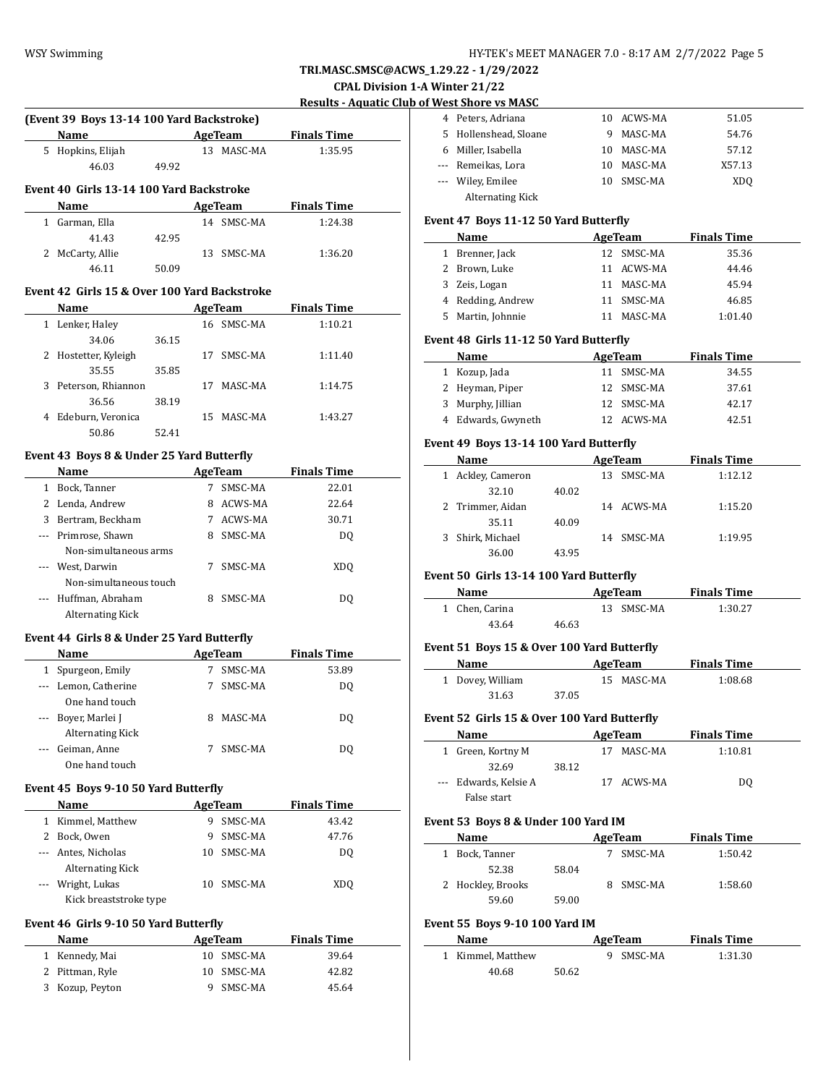## **CPAL Division 1-A Winter 21/22**

 $\overline{a}$ 

 $\overline{a}$ 

 $\overline{a}$ 

## **Results - Aquatic Club of West Shore vs MASC**

| (Event 39 Boys 13-14 100 Yard Backstroke)    |       |    |            |                    |  |
|----------------------------------------------|-------|----|------------|--------------------|--|
| Name AgeTeam                                 |       |    |            | <b>Finals Time</b> |  |
| 5 Hopkins, Elijah                            |       |    | 13 MASC-MA | 1:35.95            |  |
| 46.03                                        | 49.92 |    |            |                    |  |
| Event 40 Girls 13-14 100 Yard Backstroke     |       |    |            |                    |  |
| Name                                         |       |    | AgeTeam    | <b>Finals Time</b> |  |
| 1 Garman, Ella                               |       |    | 14 SMSC-MA | 1:24.38            |  |
| 41.43                                        | 42.95 |    |            |                    |  |
| 2 McCarty, Allie                             |       |    | 13 SMSC-MA | 1:36.20            |  |
| 46.11                                        | 50.09 |    |            |                    |  |
| Event 42 Girls 15 & Over 100 Yard Backstroke |       |    |            |                    |  |
| <b>Name</b>                                  |       |    | AgeTeam    | <b>Finals Time</b> |  |
| 1 Lenker, Haley                              |       |    | 16 SMSC-MA | 1:10.21            |  |
| 34.06                                        | 36.15 |    |            |                    |  |
| 2 Hostetter, Kyleigh                         |       | 17 | SMSC-MA    | 1:11.40            |  |
| 35.55                                        | 35.85 |    |            |                    |  |
| 3 Peterson, Rhiannon                         |       |    | 17 MASC-MA | 1:14.75            |  |
| 36.56                                        | 38.19 |    |            |                    |  |
| 4 Edeburn, Veronica                          |       |    | 15 MASC-MA | 1:43.27            |  |
| 50.86                                        | 52.41 |    |            |                    |  |
| Event 43 Boys 8 & Under 25 Yard Butterfly    |       |    |            |                    |  |
| Name                                         |       |    | AgeTeam    | <b>Finals Time</b> |  |
| 1 Bock, Tanner                               |       |    | 7 SMSC-MA  | 22.01              |  |
| 2 Lenda, Andrew                              |       |    | 8 ACWS-MA  | 22.64              |  |
| 3 Bertram, Beckham                           |       |    | 7 ACWS-MA  | 30.71              |  |
| --- Primrose, Shawn                          |       |    | 8 SMSC-MA  | DQ                 |  |
| Non-simultaneous arms                        |       |    |            |                    |  |
| --- West, Darwin                             |       |    | 7 SMSC-MA  | XD <sub>0</sub>    |  |
| Non-simultaneous touch                       |       |    |            |                    |  |
| --- Huffman, Abraham                         |       |    | 8 SMSC-MA  | DQ                 |  |
| <b>Alternating Kick</b>                      |       |    |            |                    |  |
|                                              |       |    |            |                    |  |
| Event 44 Girls 8 & Under 25 Yard Butterfly   |       |    |            |                    |  |
| Name                                         |       |    | AgeTeam    | <b>Finals Time</b> |  |
| 1 Spurgeon, Emily                            |       |    | 7 SMSC-MA  | 53.89              |  |
| --- Lemon, Catherine                         |       |    | 7 SMSC-MA  | DQ                 |  |
| One hand touch                               |       |    |            |                    |  |
| --- Boyer, Marlei J                          |       |    | 8 MASC-MA  | DO.                |  |
| <b>Alternating Kick</b>                      |       |    |            |                    |  |
| --- Geiman, Anne                             |       |    | 7 SMSC-MA  | DQ                 |  |
| One hand touch                               |       |    |            |                    |  |

#### **Event 45 Boys 9-10 50 Yard Butterfly**

|               | <b>Name</b>             |     | AgeTeam    | <b>Finals Time</b> |  |
|---------------|-------------------------|-----|------------|--------------------|--|
|               | Kimmel, Matthew         |     | SMSC-MA    | 43.42              |  |
| $\mathcal{L}$ | Bock, Owen              | 9   | SMSC-MA    | 47.76              |  |
|               | --- Antes, Nicholas     |     | 10 SMSC-MA | DO.                |  |
|               | <b>Alternating Kick</b> |     |            |                    |  |
|               | --- Wright, Lukas       | 10. | SMSC-MA    | XDO                |  |
|               | Kick breaststroke type  |     |            |                    |  |

#### **Event 46 Girls 9-10 50 Yard Butterfly**

| <b>Name</b>     | AgeTeam    | <b>Finals Time</b> |
|-----------------|------------|--------------------|
| 1 Kennedy, Mai  | 10 SMSC-MA | 39.64              |
| 2 Pittman, Ryle | 10 SMSC-MA | 42.82              |
| 3 Kozup, Peyton | 9 SMSC-MA  | 45.64              |

| 4 Peters, Adriana     |     | 10 ACWS-MA | 51.05  |
|-----------------------|-----|------------|--------|
| 5 Hollenshead, Sloane |     | MASC-MA    | 54.76  |
| 6 Miller, Isabella    | 10. | MASC-MA    | 57.12  |
| --- Remeikas, Lora    | 10  | MASC-MA    | X57.13 |
| --- Wiley, Emilee     | 10  | SMSC-MA    | XDO    |
| Alternating Kick      |     |            |        |

#### **Event 47 Boys 11-12 50 Yard Butterfly**

|    | <b>Name</b>       | AgeTeam    | <b>Finals Time</b> |  |
|----|-------------------|------------|--------------------|--|
|    | 1 Brenner, Jack   | 12 SMSC-MA | 35.36              |  |
|    | 2 Brown, Luke     | 11 ACWS-MA | 44.46              |  |
| 3. | Zeis, Logan       | 11 MASC-MA | 45.94              |  |
|    | 4 Redding, Andrew | 11 SMSC-MA | 46.85              |  |
| 5. | Martin, Johnnie   | MASC-MA    | 1:01.40            |  |

#### **Event 48 Girls 11-12 50 Yard Butterfly**

| <b>Name</b>        | AgeTeam    | <b>Finals Time</b> |
|--------------------|------------|--------------------|
| 1 Kozup, Jada      | 11 SMSC-MA | 34.55              |
| 2 Heyman, Piper    | 12 SMSC-MA | 37.61              |
| 3 Murphy, Jillian  | 12 SMSC-MA | 42.17              |
| 4 Edwards, Gwyneth | 12 ACWS-MA | 42.51              |

#### **Event 49 Boys 13-14 100 Yard Butterfly**

| Name                 |       | AgeTeam    | <b>Finals Time</b> |
|----------------------|-------|------------|--------------------|
| Ackley, Cameron<br>1 |       | 13 SMSC-MA | 1:12.12            |
| 32.10                | 40.02 |            |                    |
| 2 Trimmer, Aidan     |       | 14 ACWS-MA | 1:15.20            |
| 35.11                | 40.09 |            |                    |
| Shirk, Michael       |       | 14 SMSC-MA | 1:19.95            |
| 36.00                | 43.95 |            |                    |

## **Event 50 Girls 13-14 100 Yard Butterfly**

| <b>Name</b>    |       | AgeTeam    | <b>Finals Time</b> |  |
|----------------|-------|------------|--------------------|--|
| 1 Chen. Carina |       | 13 SMSC-MA | 1:30.27            |  |
| 43.64          | 46.63 |            |                    |  |

## **Event 51 Boys 15 & Over 100 Yard Butterfly**

| Name             |       | AgeTeam    | <b>Finals Time</b> |  |
|------------------|-------|------------|--------------------|--|
| 1 Dovey, William |       | 15 MASC-MA | 1:08.68            |  |
| 31.63            | 37.05 |            |                    |  |

## **Event 52 Girls 15 & Over 100 Yard Butterfly**

| Name                  |       | AgeTeam    | <b>Finals Time</b> |  |
|-----------------------|-------|------------|--------------------|--|
| 1 Green, Kortny M     |       | MASC-MA    | 1:10.81            |  |
| 32.69                 | 38.12 |            |                    |  |
| --- Edwards, Kelsie A |       | 17 ACWS-MA | DO                 |  |
| False start           |       |            |                    |  |

#### **Event 53 Boys 8 & Under 100 Yard IM**

| Name              |       | AgeTeam | <b>Finals Time</b> |
|-------------------|-------|---------|--------------------|
| 1 Bock, Tanner    |       | SMSC-MA | 1:50.42            |
| 52.38             | 58.04 |         |                    |
| 2 Hockley, Brooks |       | SMSC-MA | 1:58.60            |
| 59.60             | 59.00 |         |                    |

## **Event 55 Boys 9-10 100 Yard IM**

| <b>Name</b>       |       | AgeTeam   | <b>Finals Time</b> |  |
|-------------------|-------|-----------|--------------------|--|
| 1 Kimmel, Matthew |       | 9 SMSC-MA | 1:31.30            |  |
| 40.68             | 50.62 |           |                    |  |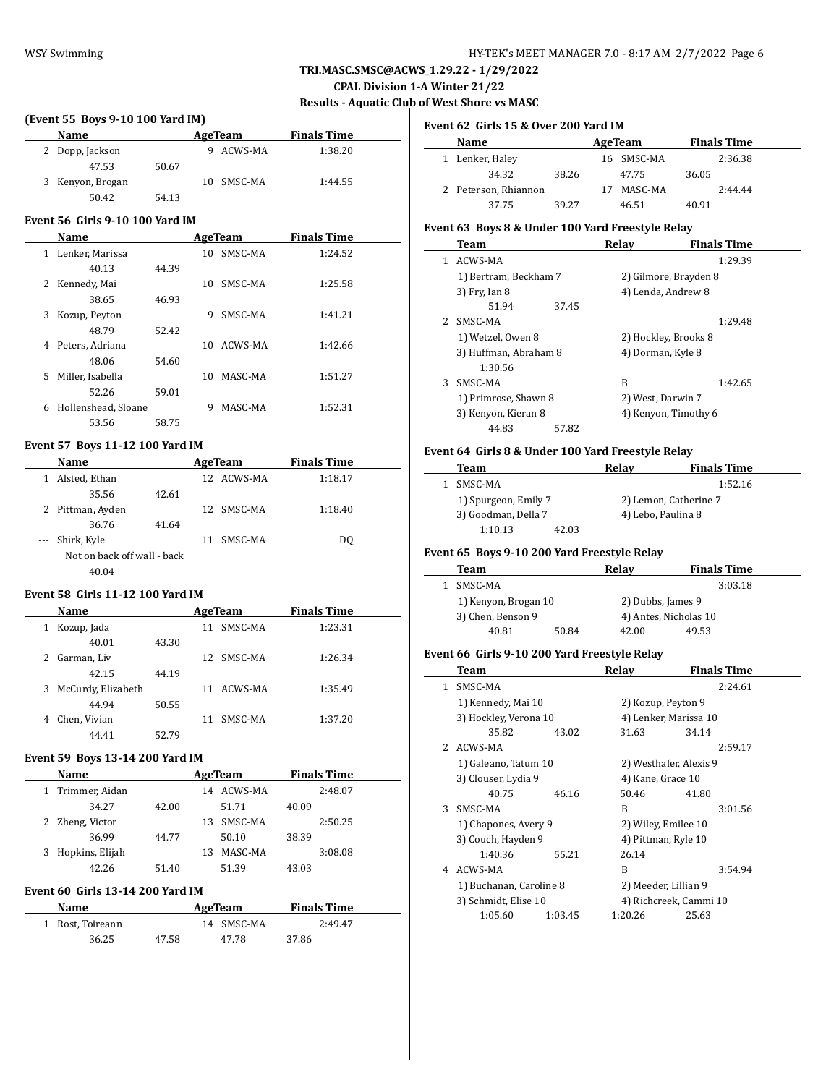## WSY Swimming **HY-TEK's MEET MANAGER 7.0 - 8:17 AM 2/7/2022** Page 6

**TRI.MASC.SMSC@ACWS\_1.29.22 - 1/29/2022**

**CPAL Division 1-A Winter 21/22**

**Results - Aquatic Club of West Shore vs MASC**

 $\overline{\phantom{a}}$ 

 $\sim$ 

## **(Event 55 Boys 9-10 100 Yard IM)**

| <b>Name</b>      |       | AgeTeam    | <b>Finals Time</b> |  |
|------------------|-------|------------|--------------------|--|
| 2 Dopp, Jackson  |       | ACWS-MA    | 1:38.20            |  |
| 47.53            | 50.67 |            |                    |  |
| 3 Kenyon, Brogan |       | 10 SMSC-MA | 1:44.55            |  |
| 50.42            | 54.13 |            |                    |  |

#### **Event 56 Girls 9-10 100 Yard IM**

|    | Name                |       |     | AgeTeam | <b>Finals Time</b> |  |
|----|---------------------|-------|-----|---------|--------------------|--|
| 1  | Lenker, Marissa     |       | 10. | SMSC-MA | 1:24.52            |  |
|    | 40.13               | 44.39 |     |         |                    |  |
| 2  | Kennedy, Mai        |       | 10  | SMSC-MA | 1:25.58            |  |
|    | 38.65               | 46.93 |     |         |                    |  |
| 3  | Kozup, Peyton       |       | 9   | SMSC-MA | 1:41.21            |  |
|    | 48.79               | 52.42 |     |         |                    |  |
| 4  | Peters, Adriana     |       | 10  | ACWS-MA | 1:42.66            |  |
|    | 48.06               | 54.60 |     |         |                    |  |
| 5. | Miller. Isabella    |       | 10  | MASC-MA | 1:51.27            |  |
|    | 52.26               | 59.01 |     |         |                    |  |
| 6  | Hollenshead, Sloane |       | 9   | MASC-MA | 1:52.31            |  |
|    | 53.56               | 58.75 |     |         |                    |  |

## **Event 57 Boys 11-12 100 Yard IM**

|          | <b>Name</b>                 |       |    | AgeTeam    | <b>Finals Time</b> |  |
|----------|-----------------------------|-------|----|------------|--------------------|--|
| 1        | Alsted, Ethan               |       |    | 12 ACWS-MA | 1:18.17            |  |
|          | 35.56                       | 42.61 |    |            |                    |  |
|          | 2 Pittman, Ayden            |       |    | 12 SMSC-MA | 1:18.40            |  |
|          | 36.76                       | 41.64 |    |            |                    |  |
| $\cdots$ | Shirk, Kyle                 |       | 11 | SMSC-MA    | DO.                |  |
|          | Not on back off wall - back |       |    |            |                    |  |
|          | 40.04                       |       |    |            |                    |  |

## **Event 58 Girls 11-12 100 Yard IM**

|   | Name               |       | AgeTeam |            | <b>Finals Time</b> |  |
|---|--------------------|-------|---------|------------|--------------------|--|
| 1 | Kozup, Jada        |       | 11      | SMSC-MA    | 1:23.31            |  |
|   | 40.01              | 43.30 |         |            |                    |  |
| 2 | Garman, Liv        |       |         | 12 SMSC-MA | 1:26.34            |  |
|   | 42.15              | 44.19 |         |            |                    |  |
| 3 | McCurdy, Elizabeth |       | 11      | ACWS-MA    | 1:35.49            |  |
|   | 44.94              | 50.55 |         |            |                    |  |
| 4 | Chen, Vivian       |       | 11      | SMSC-MA    | 1:37.20            |  |
|   | 44.41              | 52.79 |         |            |                    |  |

#### **Event 59 Boys 13-14 200 Yard IM**

| <b>Name</b>      |       |    | AgeTeam |       | <b>Finals Time</b> |
|------------------|-------|----|---------|-------|--------------------|
| 1 Trimmer, Aidan |       | 14 | ACWS-MA |       | 2:48.07            |
| 34.27            | 42.00 |    | 51.71   | 40.09 |                    |
| 2 Zheng, Victor  |       | 13 | SMSC-MA |       | 2:50.25            |
| 36.99            | 44.77 |    | 50.10   | 38.39 |                    |
| Hopkins, Elijah  |       | 13 | MASC-MA |       | 3:08.08            |
| 42.26            | 51.40 |    | 51.39   | 43.03 |                    |
|                  |       |    |         |       |                    |

## **Event 60 Girls 13-14 200 Yard IM**

| Name             |       | AgeTeam |            | <b>Finals Time</b> |  |
|------------------|-------|---------|------------|--------------------|--|
| 1 Rost. Toireann |       |         | 14 SMSC-MA | 2:49.47            |  |
| 36.25            | 47.58 |         | 47.78      | 37.86              |  |

| Event 62 Girls 15 & Over 200 Yard IM |  |  |  |
|--------------------------------------|--|--|--|
|                                      |  |  |  |

| Name                 |       | AgeTeam    |       | <b>Finals Time</b> |
|----------------------|-------|------------|-------|--------------------|
| 1 Lenker, Haley      |       | 16 SMSC-MA |       | 2:36.38            |
| 34.32                | 38.26 | 47.75      | 36.05 |                    |
| 2 Peterson, Rhiannon |       | MASC-MA    |       | 2:44.44            |
| 37.75                | 39.27 | 46.51      | 40.91 |                    |

## **Event 63 Boys 8 & Under 100 Yard Freestyle Relay**

|   | Team                  | Relav             | <b>Finals Time</b>    |
|---|-----------------------|-------------------|-----------------------|
| 1 | ACWS-MA               |                   | 1:29.39               |
|   | 1) Bertram, Beckham 7 |                   | 2) Gilmore, Brayden 8 |
|   | 3) Fry, Ian 8         |                   | 4) Lenda, Andrew 8    |
|   | 51.94<br>37.45        |                   |                       |
| 2 | SMSC-MA               |                   | 1:29.48               |
|   | 1) Wetzel, Owen 8     |                   | 2) Hockley, Brooks 8  |
|   | 3) Huffman, Abraham 8 | 4) Dorman, Kyle 8 |                       |
|   | 1:30.56               |                   |                       |
| 3 | SMSC-MA               | R                 | 1:42.65               |
|   | 1) Primrose, Shawn 8  | 2) West, Darwin 7 |                       |
|   | 3) Kenyon, Kieran 8   |                   | 4) Kenyon, Timothy 6  |
|   | 44.83<br>57.82        |                   |                       |

# **Event 64 Girls 8 & Under 100 Yard Freestyle Relay**

| Team                 |       | Relav                 | <b>Finals Time</b> |
|----------------------|-------|-----------------------|--------------------|
| SMSC-MA              |       |                       | 1:52.16            |
| 1) Spurgeon, Emily 7 |       | 2) Lemon, Catherine 7 |                    |
| 3) Goodman, Della 7  |       | 4) Lebo, Paulina 8    |                    |
| 1:10.13              | 42.03 |                       |                    |

## **Event 65 Boys 9-10 200 Yard Freestyle Relay**

| Team                 |       | Relav                 | <b>Finals Time</b> |
|----------------------|-------|-----------------------|--------------------|
| SMSC-MA              |       |                       | 3:03.18            |
| 1) Kenyon, Brogan 10 |       | 2) Dubbs, James 9     |                    |
| 3) Chen, Benson 9    |       | 4) Antes, Nicholas 10 |                    |
| 40.81                | 50.84 | 42.00                 | 49.53              |

## **Event 66 Girls 9-10 200 Yard Freestyle Relay**

|  | Team                                            |         | Relay                  | <b>Finals Time</b>     |
|--|-------------------------------------------------|---------|------------------------|------------------------|
|  | 1 SMSC-MA                                       |         |                        | 2:24.61                |
|  | 1) Kennedy, Mai 10                              |         |                        | 2) Kozup, Peyton 9     |
|  | 3) Hockley, Verona 10                           |         |                        | 4) Lenker, Marissa 10  |
|  | 35.82                                           | 43.02   | 31.63                  | 34.14                  |
|  | 2 ACWS-MA                                       |         |                        | 2:59.17                |
|  | 1) Galeano, Tatum 10                            |         | 2) Westhafer, Alexis 9 |                        |
|  | 3) Clouser, Lydia 9                             |         | 4) Kane, Grace 10      |                        |
|  | 40.75                                           | 46.16   | 50.46                  | 41.80                  |
|  | 3 SMSC-MA                                       |         | R                      | 3:01.56                |
|  | 1) Chapones, Avery 9<br>3) Couch, Hayden 9      |         | 2) Wiley, Emilee 10    |                        |
|  |                                                 |         |                        | 4) Pittman, Ryle 10    |
|  | 1:40.36                                         | 55.21   | 26.14                  |                        |
|  | 4 ACWS-MA                                       |         | B                      | 3:54.94                |
|  | 1) Buchanan, Caroline 8<br>3) Schmidt, Elise 10 |         | 2) Meeder, Lillian 9   |                        |
|  |                                                 |         |                        | 4) Richcreek, Cammi 10 |
|  | 1:05.60                                         | 1:03.45 | 1:20.26                | 25.63                  |